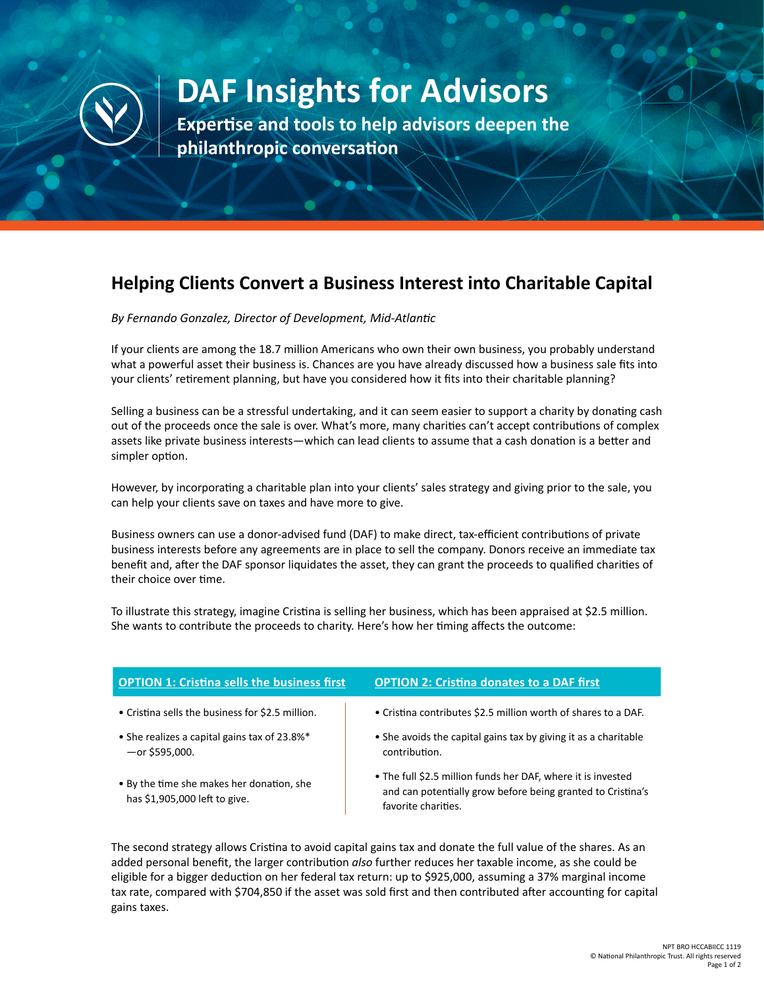

## **DAF Insights for Advisors**

**Expertise and tools to help advisors deepen the philanthropic conversation**

## **Helping Clients Convert a Business Interest into Charitable Capital**

*By Fernando Gonzalez, Director of Development, Mid-Atlantic*

If your clients are among the 18.7 million Americans who own their own business, you probably understand what a powerful asset their business is. Chances are you have already discussed how a business sale fits into your clients' retirement planning, but have you considered how it fits into their charitable planning?

Selling a business can be a stressful undertaking, and it can seem easier to support a charity by donating cash out of the proceeds once the sale is over. What's more, many charities can't accept contributions of complex assets like private business interests—which can lead clients to assume that a cash donation is a better and simpler option.

However, by incorporating a charitable plan into your clients' sales strategy and giving prior to the sale, you can help your clients save on taxes and have more to give.

Business owners can use a donor-advised fund (DAF) to make direct, tax-efficient contributions of private business interests before any agreements are in place to sell the company. Donors receive an immediate tax benefit and, after the DAF sponsor liquidates the asset, they can grant the proceeds to qualified charities of their choice over time.

To illustrate this strategy, imagine Cristina is selling her business, which has been appraised at \$2.5 million. She wants to contribute the proceeds to charity. Here's how her timing affects the outcome:

| <b>OPTION 1: Cristina sells the business first</b>                | <b>OPTION 2: Cristina donates to a DAF first</b>                                 |
|-------------------------------------------------------------------|----------------------------------------------------------------------------------|
| • Cristina sells the business for \$2.5 million.                  | • Cristina contributes \$2.5 million worth of shares to a DAF.                   |
| • She realizes a capital gains tax of 23.8%*<br>$-$ or \$595,000. | • She avoids the capital gains tax by giving it as a charitable<br>contribution. |

- By the time she makes her donation, she has \$1,905,000 left to give.
- The full \$2.5 million funds her DAF, where it is invested and can potentially grow before being granted to Cristina's favorite charities.

The second strategy allows Cristina to avoid capital gains tax and donate the full value of the shares. As an added personal benefit, the larger contribution *also* further reduces her taxable income, as she could be eligible for a bigger deduction on her federal tax return: up to \$925,000, assuming a 37% marginal income tax rate, compared with \$704,850 if the asset was sold first and then contributed after accounting for capital gains taxes.